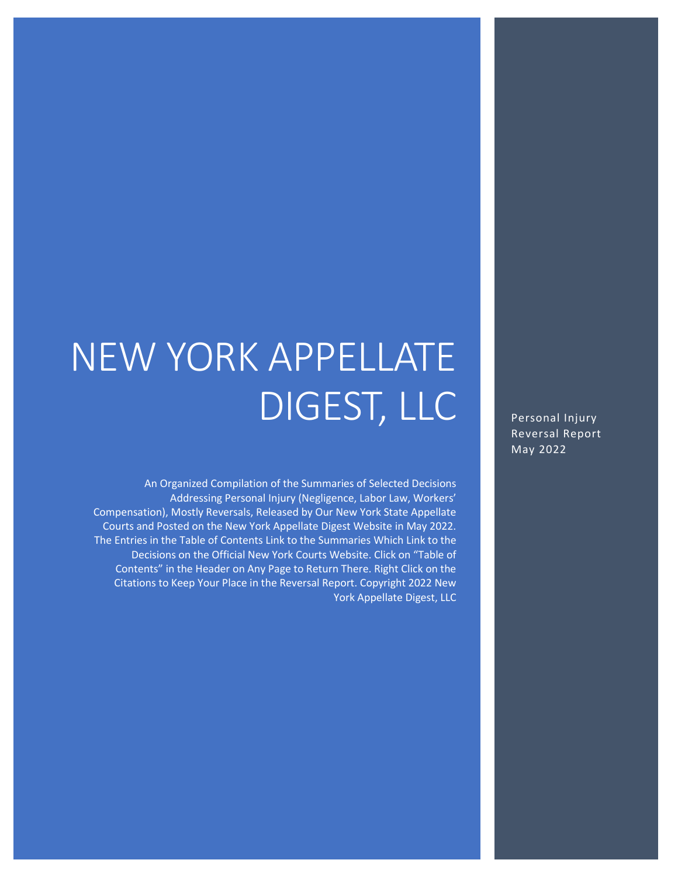# NEW YORK APPELLATE DIGEST, LLC

An Organized Compilation of the Summaries of Selected Decisions Addressing Personal Injury (Negligence, Labor Law, Workers' Compensation), Mostly Reversals, Released by Our New York State Appellate Courts and Posted on the New York Appellate Digest Website in May 2022. The Entries in the Table of Contents Link to the Summaries Which Link to the Decisions on the Official New York Courts Website. Click on "Table of Contents" in the Header on Any Page to Return There. Right Click on the Citations to Keep Your Place in the Reversal Report. Copyright 2022 New York Appellate Digest, LLC

Personal Injury Reversal Report May 2022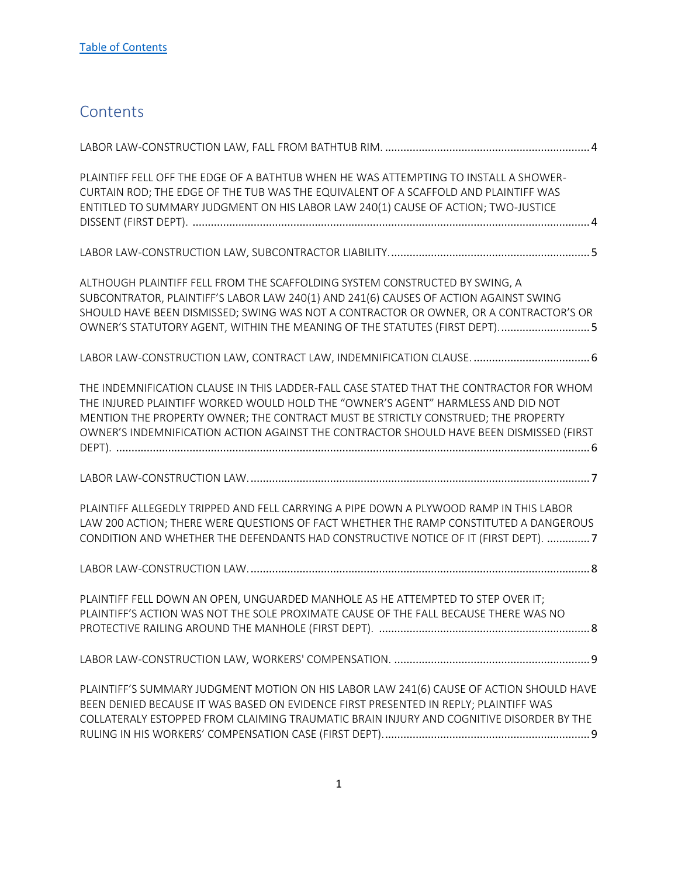# <span id="page-1-0"></span>**Contents**

| PLAINTIFF FELL OFF THE EDGE OF A BATHTUB WHEN HE WAS ATTEMPTING TO INSTALL A SHOWER-<br>CURTAIN ROD; THE EDGE OF THE TUB WAS THE EQUIVALENT OF A SCAFFOLD AND PLAINTIFF WAS<br>ENTITLED TO SUMMARY JUDGMENT ON HIS LABOR LAW 240(1) CAUSE OF ACTION; TWO-JUSTICE                                                                                            |
|-------------------------------------------------------------------------------------------------------------------------------------------------------------------------------------------------------------------------------------------------------------------------------------------------------------------------------------------------------------|
|                                                                                                                                                                                                                                                                                                                                                             |
| ALTHOUGH PLAINTIFF FELL FROM THE SCAFFOLDING SYSTEM CONSTRUCTED BY SWING, A<br>SUBCONTRATOR, PLAINTIFF'S LABOR LAW 240(1) AND 241(6) CAUSES OF ACTION AGAINST SWING<br>SHOULD HAVE BEEN DISMISSED; SWING WAS NOT A CONTRACTOR OR OWNER, OR A CONTRACTOR'S OR<br>OWNER'S STATUTORY AGENT, WITHIN THE MEANING OF THE STATUTES (FIRST DEPT) 5                  |
| LABOR LAW-CONSTRUCTION LAW, CONTRACT LAW, INDEMNIFICATION CLAUSE.  6                                                                                                                                                                                                                                                                                        |
| THE INDEMNIFICATION CLAUSE IN THIS LADDER-FALL CASE STATED THAT THE CONTRACTOR FOR WHOM<br>THE INJURED PLAINTIFF WORKED WOULD HOLD THE "OWNER'S AGENT" HARMLESS AND DID NOT<br>MENTION THE PROPERTY OWNER; THE CONTRACT MUST BE STRICTLY CONSTRUED; THE PROPERTY<br>OWNER'S INDEMNIFICATION ACTION AGAINST THE CONTRACTOR SHOULD HAVE BEEN DISMISSED (FIRST |
|                                                                                                                                                                                                                                                                                                                                                             |
| PLAINTIFF ALLEGEDLY TRIPPED AND FELL CARRYING A PIPE DOWN A PLYWOOD RAMP IN THIS LABOR<br>LAW 200 ACTION; THERE WERE QUESTIONS OF FACT WHETHER THE RAMP CONSTITUTED A DANGEROUS<br>CONDITION AND WHETHER THE DEFENDANTS HAD CONSTRUCTIVE NOTICE OF IT (FIRST DEPT). 7                                                                                       |
|                                                                                                                                                                                                                                                                                                                                                             |
| PLAINTIFF FELL DOWN AN OPEN, UNGUARDED MANHOLE AS HE ATTEMPTED TO STEP OVER IT;<br>PLAINTIFF'S ACTION WAS NOT THE SOLE PROXIMATE CAUSE OF THE FALL BECAUSE THERE WAS NO                                                                                                                                                                                     |
|                                                                                                                                                                                                                                                                                                                                                             |
| PLAINTIFF'S SUMMARY JUDGMENT MOTION ON HIS LABOR LAW 241(6) CAUSE OF ACTION SHOULD HAVE<br>BEEN DENIED BECAUSE IT WAS BASED ON EVIDENCE FIRST PRESENTED IN REPLY; PLAINTIFF WAS<br>COLLATERALY ESTOPPED FROM CLAIMING TRAUMATIC BRAIN INJURY AND COGNITIVE DISORDER BY THE                                                                                  |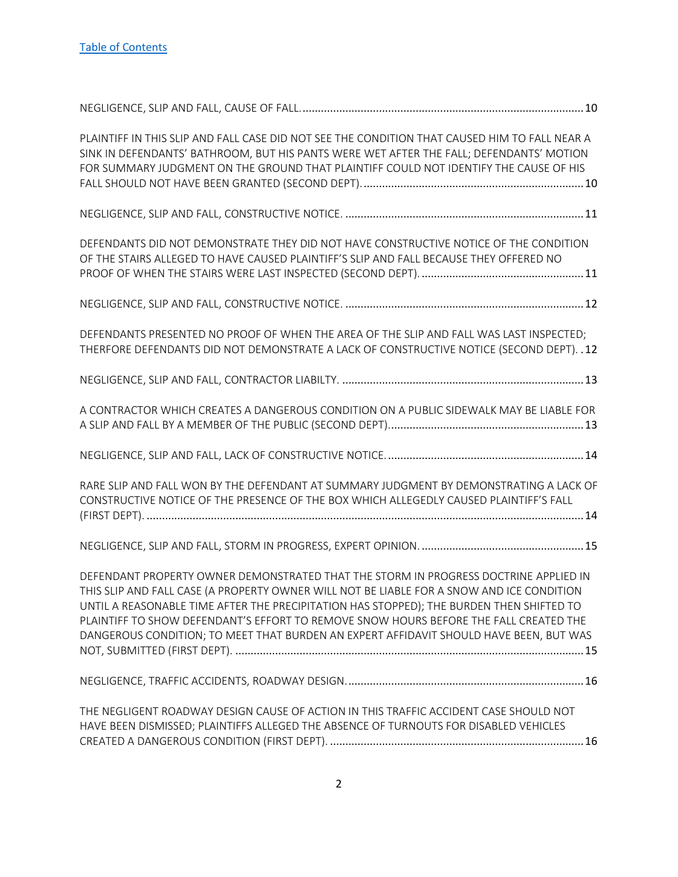| PLAINTIFF IN THIS SLIP AND FALL CASE DID NOT SEE THE CONDITION THAT CAUSED HIM TO FALL NEAR A<br>SINK IN DEFENDANTS' BATHROOM, BUT HIS PANTS WERE WET AFTER THE FALL; DEFENDANTS' MOTION<br>FOR SUMMARY JUDGMENT ON THE GROUND THAT PLAINTIFF COULD NOT IDENTIFY THE CAUSE OF HIS                                                                                                                                                                                |
|------------------------------------------------------------------------------------------------------------------------------------------------------------------------------------------------------------------------------------------------------------------------------------------------------------------------------------------------------------------------------------------------------------------------------------------------------------------|
|                                                                                                                                                                                                                                                                                                                                                                                                                                                                  |
| DEFENDANTS DID NOT DEMONSTRATE THEY DID NOT HAVE CONSTRUCTIVE NOTICE OF THE CONDITION<br>OF THE STAIRS ALLEGED TO HAVE CAUSED PLAINTIFF'S SLIP AND FALL BECAUSE THEY OFFERED NO                                                                                                                                                                                                                                                                                  |
|                                                                                                                                                                                                                                                                                                                                                                                                                                                                  |
| DEFENDANTS PRESENTED NO PROOF OF WHEN THE AREA OF THE SLIP AND FALL WAS LAST INSPECTED;<br>THERFORE DEFENDANTS DID NOT DEMONSTRATE A LACK OF CONSTRUCTIVE NOTICE (SECOND DEPT). . 12                                                                                                                                                                                                                                                                             |
|                                                                                                                                                                                                                                                                                                                                                                                                                                                                  |
| A CONTRACTOR WHICH CREATES A DANGEROUS CONDITION ON A PUBLIC SIDEWALK MAY BE LIABLE FOR                                                                                                                                                                                                                                                                                                                                                                          |
|                                                                                                                                                                                                                                                                                                                                                                                                                                                                  |
| RARE SLIP AND FALL WON BY THE DEFENDANT AT SUMMARY JUDGMENT BY DEMONSTRATING A LACK OF<br>CONSTRUCTIVE NOTICE OF THE PRESENCE OF THE BOX WHICH ALLEGEDLY CAUSED PLAINTIFF'S FALL                                                                                                                                                                                                                                                                                 |
|                                                                                                                                                                                                                                                                                                                                                                                                                                                                  |
| DEFENDANT PROPERTY OWNER DEMONSTRATED THAT THE STORM IN PROGRESS DOCTRINE APPLIED IN<br>THIS SLIP AND FALL CASE (A PROPERTY OWNER WILL NOT BE LIABLE FOR A SNOW AND ICE CONDITION<br>UNTIL A REASONABLE TIME AFTER THE PRECIPITATION HAS STOPPED); THE BURDEN THEN SHIFTED TO<br>PLAINTIFF TO SHOW DEFENDANT'S EFFORT TO REMOVE SNOW HOURS BEFORE THE FALL CREATED THE<br>DANGEROUS CONDITION; TO MEET THAT BURDEN AN EXPERT AFFIDAVIT SHOULD HAVE BEEN, BUT WAS |
|                                                                                                                                                                                                                                                                                                                                                                                                                                                                  |
| THE NEGLIGENT ROADWAY DESIGN CAUSE OF ACTION IN THIS TRAFFIC ACCIDENT CASE SHOULD NOT<br>HAVE BEEN DISMISSED; PLAINTIFFS ALLEGED THE ABSENCE OF TURNOUTS FOR DISABLED VEHICLES                                                                                                                                                                                                                                                                                   |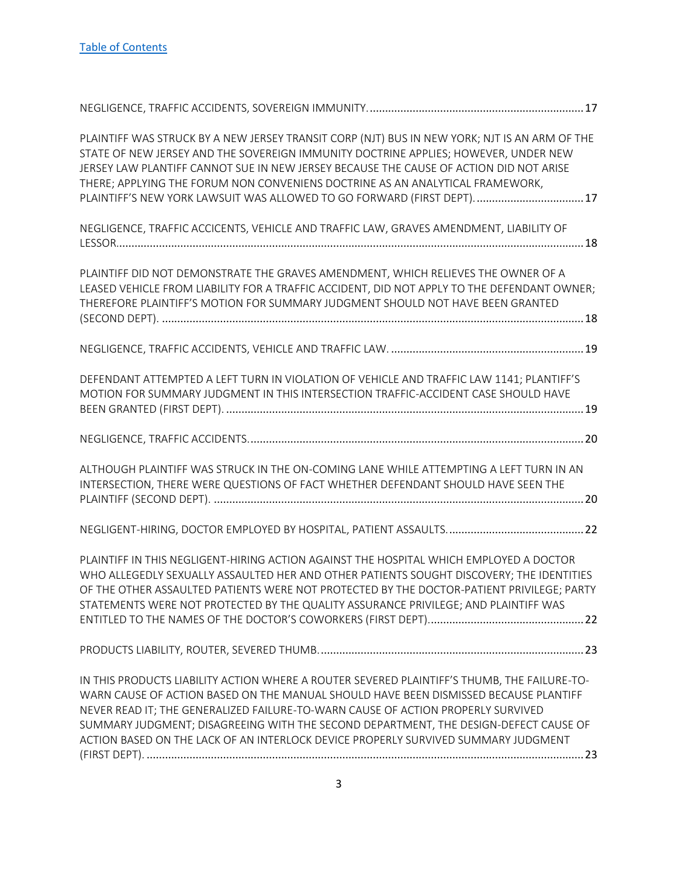| PLAINTIFF WAS STRUCK BY A NEW JERSEY TRANSIT CORP (NJT) BUS IN NEW YORK; NJT IS AN ARM OF THE<br>STATE OF NEW JERSEY AND THE SOVEREIGN IMMUNITY DOCTRINE APPLIES; HOWEVER, UNDER NEW<br>JERSEY LAW PLANTIFF CANNOT SUE IN NEW JERSEY BECAUSE THE CAUSE OF ACTION DID NOT ARISE<br>THERE; APPLYING THE FORUM NON CONVENIENS DOCTRINE AS AN ANALYTICAL FRAMEWORK,<br>PLAINTIFF'S NEW YORK LAWSUIT WAS ALLOWED TO GO FORWARD (FIRST DEPT).  17           |
|-------------------------------------------------------------------------------------------------------------------------------------------------------------------------------------------------------------------------------------------------------------------------------------------------------------------------------------------------------------------------------------------------------------------------------------------------------|
| NEGLIGENCE, TRAFFIC ACCICENTS, VEHICLE AND TRAFFIC LAW, GRAVES AMENDMENT, LIABILITY OF                                                                                                                                                                                                                                                                                                                                                                |
| PLAINTIFF DID NOT DEMONSTRATE THE GRAVES AMENDMENT, WHICH RELIEVES THE OWNER OF A<br>LEASED VEHICLE FROM LIABILITY FOR A TRAFFIC ACCIDENT, DID NOT APPLY TO THE DEFENDANT OWNER;<br>THEREFORE PLAINTIFF'S MOTION FOR SUMMARY JUDGMENT SHOULD NOT HAVE BEEN GRANTED                                                                                                                                                                                    |
|                                                                                                                                                                                                                                                                                                                                                                                                                                                       |
| DEFENDANT ATTEMPTED A LEFT TURN IN VIOLATION OF VEHICLE AND TRAFFIC LAW 1141; PLANTIFF'S<br>MOTION FOR SUMMARY JUDGMENT IN THIS INTERSECTION TRAFFIC-ACCIDENT CASE SHOULD HAVE                                                                                                                                                                                                                                                                        |
|                                                                                                                                                                                                                                                                                                                                                                                                                                                       |
| ALTHOUGH PLAINTIFF WAS STRUCK IN THE ON-COMING LANE WHILE ATTEMPTING A LEFT TURN IN AN<br>INTERSECTION, THERE WERE QUESTIONS OF FACT WHETHER DEFENDANT SHOULD HAVE SEEN THE                                                                                                                                                                                                                                                                           |
|                                                                                                                                                                                                                                                                                                                                                                                                                                                       |
| PLAINTIFF IN THIS NEGLIGENT-HIRING ACTION AGAINST THE HOSPITAL WHICH EMPLOYED A DOCTOR<br>WHO ALLEGEDLY SEXUALLY ASSAULTED HER AND OTHER PATIENTS SOUGHT DISCOVERY; THE IDENTITIES<br>OF THE OTHER ASSAULTED PATIENTS WERE NOT PROTECTED BY THE DOCTOR-PATIENT PRIVILEGE; PARTY<br>STATEMENTS WERE NOT PROTECTED BY THE QUALITY ASSURANCE PRIVILEGE; AND PLAINTIFF WAS                                                                                |
|                                                                                                                                                                                                                                                                                                                                                                                                                                                       |
| IN THIS PRODUCTS LIABILITY ACTION WHERE A ROUTER SEVERED PLAINTIFF'S THUMB, THE FAILURE-TO-<br>WARN CAUSE OF ACTION BASED ON THE MANUAL SHOULD HAVE BEEN DISMISSED BECAUSE PLANTIFF<br>NEVER READ IT; THE GENERALIZED FAILURE-TO-WARN CAUSE OF ACTION PROPERLY SURVIVED<br>SUMMARY JUDGMENT; DISAGREEING WITH THE SECOND DEPARTMENT, THE DESIGN-DEFECT CAUSE OF<br>ACTION BASED ON THE LACK OF AN INTERLOCK DEVICE PROPERLY SURVIVED SUMMARY JUDGMENT |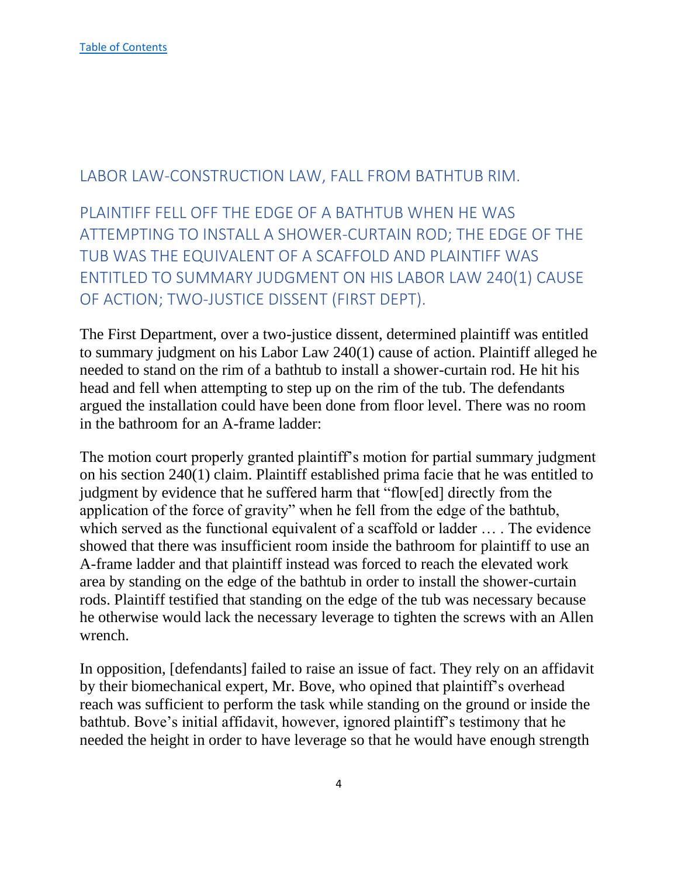#### <span id="page-4-0"></span>LABOR LAW-CONSTRUCTION LAW, FALL FROM BATHTUB RIM.

<span id="page-4-1"></span>PLAINTIFF FELL OFF THE EDGE OF A BATHTUB WHEN HE WAS ATTEMPTING TO INSTALL A SHOWER-CURTAIN ROD; THE EDGE OF THE TUB WAS THE EQUIVALENT OF A SCAFFOLD AND PLAINTIFF WAS ENTITLED TO SUMMARY JUDGMENT ON HIS LABOR LAW 240(1) CAUSE OF ACTION; TWO-JUSTICE DISSENT (FIRST DEPT).

The First Department, over a two-justice dissent, determined plaintiff was entitled to summary judgment on his Labor Law 240(1) cause of action. Plaintiff alleged he needed to stand on the rim of a bathtub to install a shower-curtain rod. He hit his head and fell when attempting to step up on the rim of the tub. The defendants argued the installation could have been done from floor level. There was no room in the bathroom for an A-frame ladder:

The motion court properly granted plaintiff's motion for partial summary judgment on his section 240(1) claim. Plaintiff established prima facie that he was entitled to judgment by evidence that he suffered harm that "flow[ed] directly from the application of the force of gravity" when he fell from the edge of the bathtub, which served as the functional equivalent of a scaffold or ladder … . The evidence showed that there was insufficient room inside the bathroom for plaintiff to use an A-frame ladder and that plaintiff instead was forced to reach the elevated work area by standing on the edge of the bathtub in order to install the shower-curtain rods. Plaintiff testified that standing on the edge of the tub was necessary because he otherwise would lack the necessary leverage to tighten the screws with an Allen wrench.

In opposition, [defendants] failed to raise an issue of fact. They rely on an affidavit by their biomechanical expert, Mr. Bove, who opined that plaintiff's overhead reach was sufficient to perform the task while standing on the ground or inside the bathtub. Bove's initial affidavit, however, ignored plaintiff's testimony that he needed the height in order to have leverage so that he would have enough strength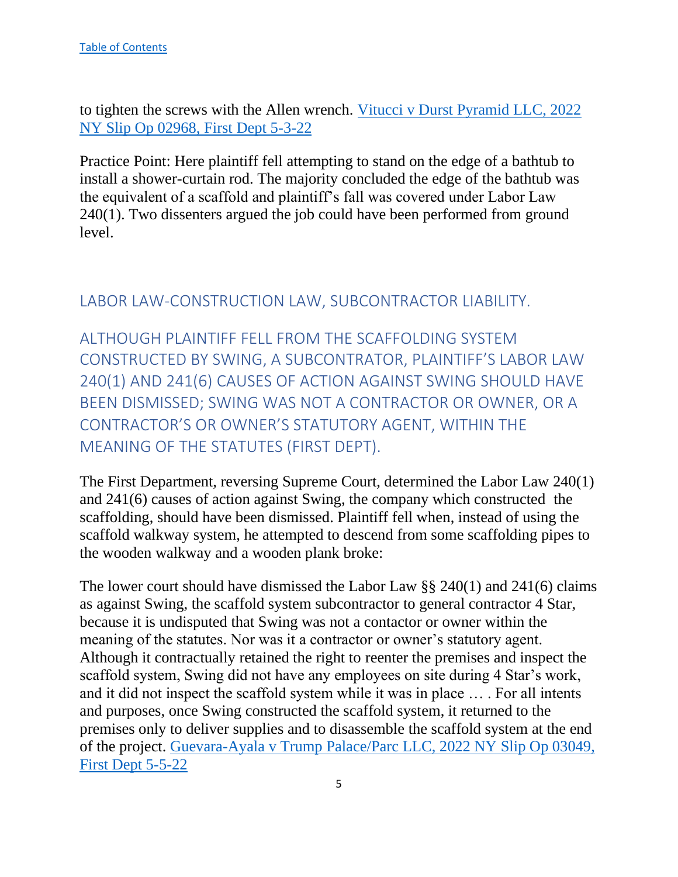to tighten the screws with the Allen wrench. [Vitucci v Durst Pyramid LLC, 2022](https://nycourts.gov/reporter/3dseries/2022/2022_02968.htm)  [NY Slip Op 02968, First Dept 5-3-22](https://nycourts.gov/reporter/3dseries/2022/2022_02968.htm)

Practice Point: Here plaintiff fell attempting to stand on the edge of a bathtub to install a shower-curtain rod. The majority concluded the edge of the bathtub was the equivalent of a scaffold and plaintiff's fall was covered under Labor Law 240(1). Two dissenters argued the job could have been performed from ground level.

#### <span id="page-5-0"></span>LABOR LAW-CONSTRUCTION LAW, SUBCONTRACTOR LIABILITY.

<span id="page-5-1"></span>ALTHOUGH PLAINTIFF FELL FROM THE SCAFFOLDING SYSTEM CONSTRUCTED BY SWING, A SUBCONTRATOR, PLAINTIFF'S LABOR LAW 240(1) AND 241(6) CAUSES OF ACTION AGAINST SWING SHOULD HAVE BEEN DISMISSED; SWING WAS NOT A CONTRACTOR OR OWNER, OR A CONTRACTOR'S OR OWNER'S STATUTORY AGENT, WITHIN THE MEANING OF THE STATUTES (FIRST DEPT).

The First Department, reversing Supreme Court, determined the Labor Law 240(1) and 241(6) causes of action against Swing, the company which constructed the scaffolding, should have been dismissed. Plaintiff fell when, instead of using the scaffold walkway system, he attempted to descend from some scaffolding pipes to the wooden walkway and a wooden plank broke:

The lower court should have dismissed the Labor Law §§ 240(1) and 241(6) claims as against Swing, the scaffold system subcontractor to general contractor 4 Star, because it is undisputed that Swing was not a contactor or owner within the meaning of the statutes. Nor was it a contractor or owner's statutory agent. Although it contractually retained the right to reenter the premises and inspect the scaffold system, Swing did not have any employees on site during 4 Star's work, and it did not inspect the scaffold system while it was in place … . For all intents and purposes, once Swing constructed the scaffold system, it returned to the premises only to deliver supplies and to disassemble the scaffold system at the end of the project. [Guevara-Ayala v Trump Palace/Parc LLC, 2022 NY Slip Op 03049,](https://nycourts.gov/reporter/3dseries/2022/2022_03049.htm)  [First Dept 5-5-22](https://nycourts.gov/reporter/3dseries/2022/2022_03049.htm)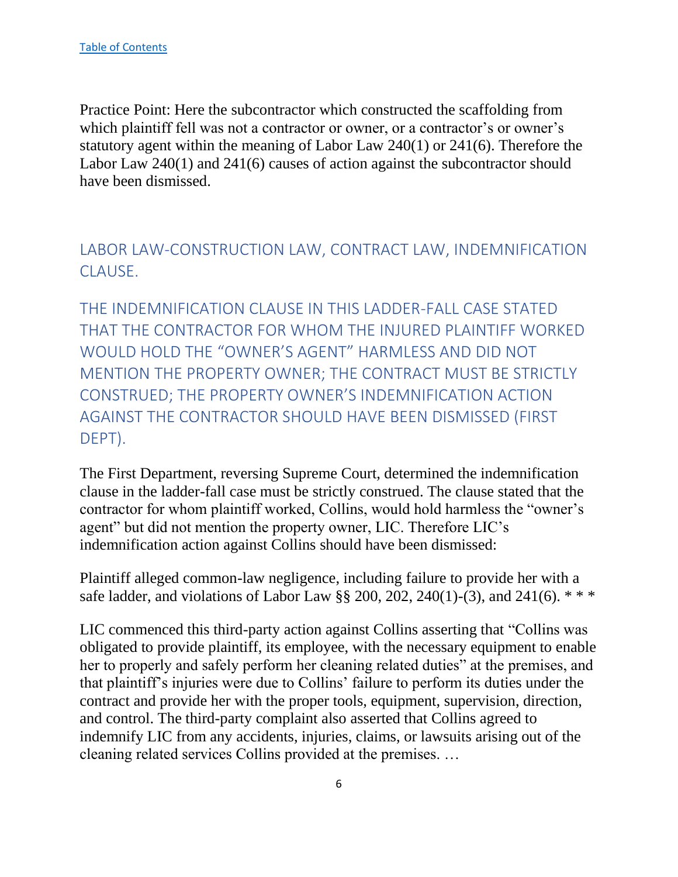Practice Point: Here the subcontractor which constructed the scaffolding from which plaintiff fell was not a contractor or owner, or a contractor's or owner's statutory agent within the meaning of Labor Law 240(1) or 241(6). Therefore the Labor Law 240(1) and 241(6) causes of action against the subcontractor should have been dismissed.

<span id="page-6-0"></span>LABOR LAW-CONSTRUCTION LAW, CONTRACT LAW, INDEMNIFICATION CLAUSE.

<span id="page-6-1"></span>THE INDEMNIFICATION CLAUSE IN THIS LADDER-FALL CASE STATED THAT THE CONTRACTOR FOR WHOM THE INJURED PLAINTIFF WORKED WOULD HOLD THE "OWNER'S AGENT" HARMLESS AND DID NOT MENTION THE PROPERTY OWNER; THE CONTRACT MUST BE STRICTLY CONSTRUED; THE PROPERTY OWNER'S INDEMNIFICATION ACTION AGAINST THE CONTRACTOR SHOULD HAVE BEEN DISMISSED (FIRST DEPT).

The First Department, reversing Supreme Court, determined the indemnification clause in the ladder-fall case must be strictly construed. The clause stated that the contractor for whom plaintiff worked, Collins, would hold harmless the "owner's agent" but did not mention the property owner, LIC. Therefore LIC's indemnification action against Collins should have been dismissed:

Plaintiff alleged common-law negligence, including failure to provide her with a safe ladder, and violations of Labor Law §§ 200, 202, 240(1)-(3), and 241(6).  $***$ 

LIC commenced this third-party action against Collins asserting that "Collins was obligated to provide plaintiff, its employee, with the necessary equipment to enable her to properly and safely perform her cleaning related duties" at the premises, and that plaintiff's injuries were due to Collins' failure to perform its duties under the contract and provide her with the proper tools, equipment, supervision, direction, and control. The third-party complaint also asserted that Collins agreed to indemnify LIC from any accidents, injuries, claims, or lawsuits arising out of the cleaning related services Collins provided at the premises. …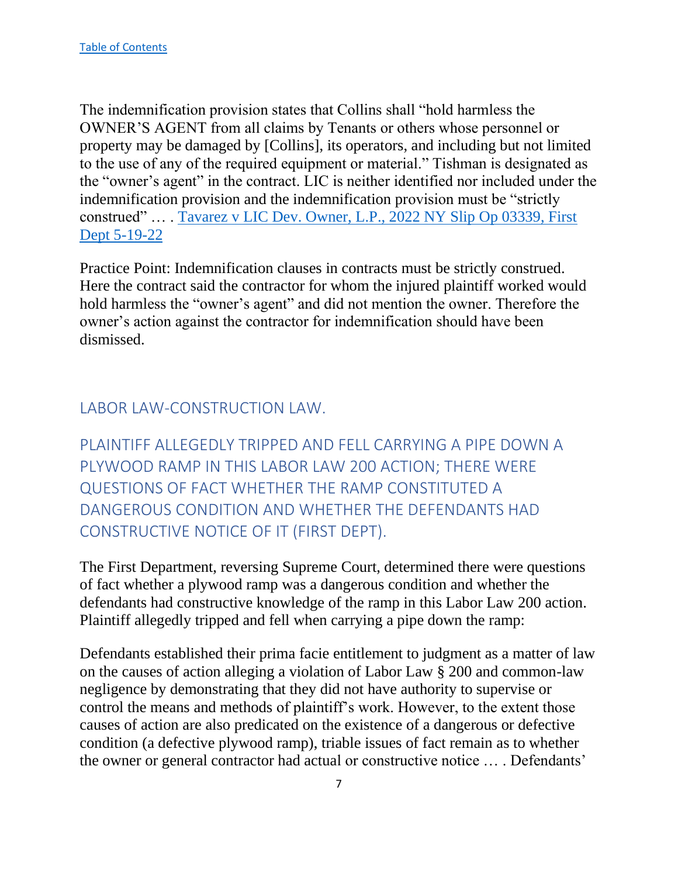The indemnification provision states that Collins shall "hold harmless the OWNER'S AGENT from all claims by Tenants or others whose personnel or property may be damaged by [Collins], its operators, and including but not limited to the use of any of the required equipment or material." Tishman is designated as the "owner's agent" in the contract. LIC is neither identified nor included under the indemnification provision and the indemnification provision must be "strictly construed" … . [Tavarez v LIC Dev. Owner, L.P., 2022 NY Slip Op 03339, First](https://nycourts.gov/reporter/3dseries/2022/2022_03339.htm)  [Dept 5-19-22](https://nycourts.gov/reporter/3dseries/2022/2022_03339.htm)

Practice Point: Indemnification clauses in contracts must be strictly construed. Here the contract said the contractor for whom the injured plaintiff worked would hold harmless the "owner's agent" and did not mention the owner. Therefore the owner's action against the contractor for indemnification should have been dismissed.

#### <span id="page-7-0"></span>LABOR LAW-CONSTRUCTION LAW.

<span id="page-7-1"></span>PLAINTIFF ALLEGEDLY TRIPPED AND FELL CARRYING A PIPE DOWN A PLYWOOD RAMP IN THIS LABOR LAW 200 ACTION; THERE WERE QUESTIONS OF FACT WHETHER THE RAMP CONSTITUTED A DANGEROUS CONDITION AND WHETHER THE DEFENDANTS HAD CONSTRUCTIVE NOTICE OF IT (FIRST DEPT).

The First Department, reversing Supreme Court, determined there were questions of fact whether a plywood ramp was a dangerous condition and whether the defendants had constructive knowledge of the ramp in this Labor Law 200 action. Plaintiff allegedly tripped and fell when carrying a pipe down the ramp:

Defendants established their prima facie entitlement to judgment as a matter of law on the causes of action alleging a violation of Labor Law § 200 and common-law negligence by demonstrating that they did not have authority to supervise or control the means and methods of plaintiff's work. However, to the extent those causes of action are also predicated on the existence of a dangerous or defective condition (a defective plywood ramp), triable issues of fact remain as to whether the owner or general contractor had actual or constructive notice … . Defendants'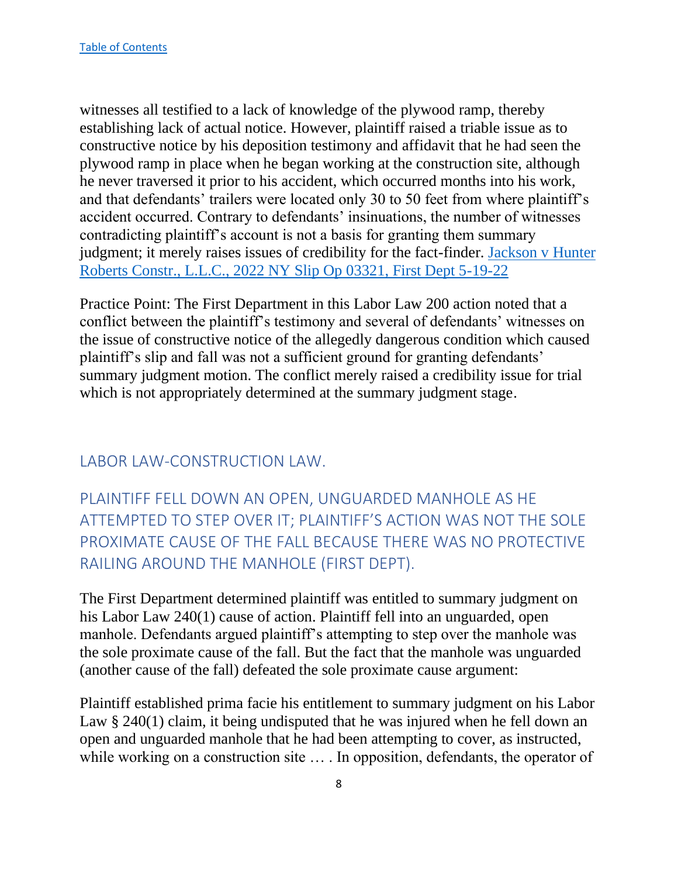witnesses all testified to a lack of knowledge of the plywood ramp, thereby establishing lack of actual notice. However, plaintiff raised a triable issue as to constructive notice by his deposition testimony and affidavit that he had seen the plywood ramp in place when he began working at the construction site, although he never traversed it prior to his accident, which occurred months into his work, and that defendants' trailers were located only 30 to 50 feet from where plaintiff's accident occurred. Contrary to defendants' insinuations, the number of witnesses contradicting plaintiff's account is not a basis for granting them summary judgment; it merely raises issues of credibility for the fact-finder. [Jackson v Hunter](https://nycourts.gov/reporter/3dseries/2022/2022_03321.htm)  [Roberts Constr., L.L.C., 2022 NY Slip Op 03321, First Dept 5-19-22](https://nycourts.gov/reporter/3dseries/2022/2022_03321.htm)

Practice Point: The First Department in this Labor Law 200 action noted that a conflict between the plaintiff's testimony and several of defendants' witnesses on the issue of constructive notice of the allegedly dangerous condition which caused plaintiff's slip and fall was not a sufficient ground for granting defendants' summary judgment motion. The conflict merely raised a credibility issue for trial which is not appropriately determined at the summary judgment stage.

## <span id="page-8-0"></span>LABOR LAW-CONSTRUCTION LAW.

<span id="page-8-1"></span>PLAINTIFF FELL DOWN AN OPEN, UNGUARDED MANHOLE AS HE ATTEMPTED TO STEP OVER IT; PLAINTIFF'S ACTION WAS NOT THE SOLE PROXIMATE CAUSE OF THE FALL BECAUSE THERE WAS NO PROTECTIVE RAILING AROUND THE MANHOLE (FIRST DEPT).

The First Department determined plaintiff was entitled to summary judgment on his Labor Law 240(1) cause of action. Plaintiff fell into an unguarded, open manhole. Defendants argued plaintiff's attempting to step over the manhole was the sole proximate cause of the fall. But the fact that the manhole was unguarded (another cause of the fall) defeated the sole proximate cause argument:

Plaintiff established prima facie his entitlement to summary judgment on his Labor Law § 240(1) claim, it being undisputed that he was injured when he fell down an open and unguarded manhole that he had been attempting to cover, as instructed, while working on a construction site ... In opposition, defendants, the operator of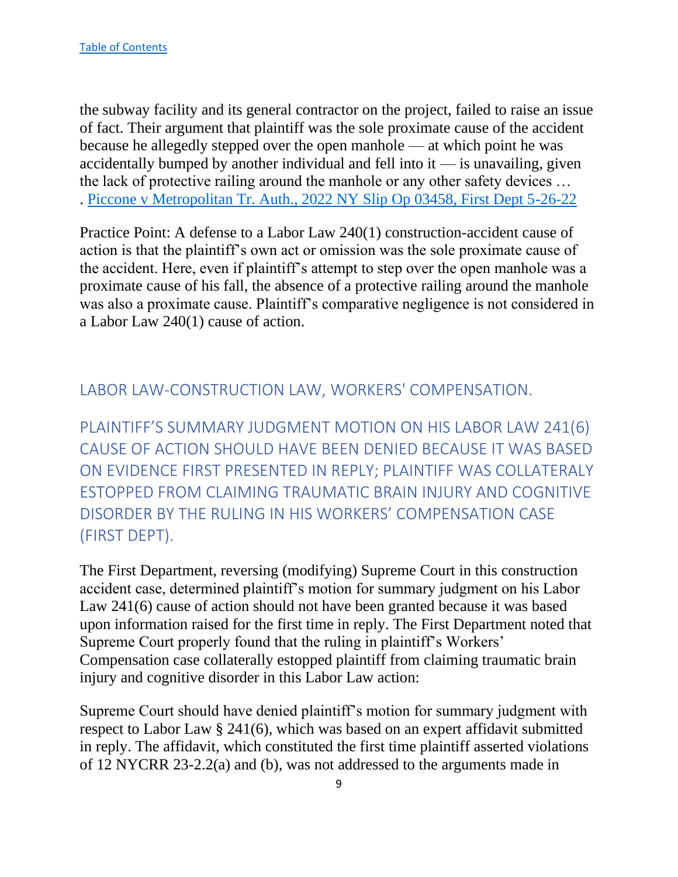the subway facility and its general contractor on the project, failed to raise an issue of fact. Their argument that plaintiff was the sole proximate cause of the accident because he allegedly stepped over the open manhole — at which point he was accidentally bumped by another individual and fell into it  $-$  is unavailing, given the lack of protective railing around the manhole or any other safety devices … . Piccone [v Metropolitan Tr. Auth., 2022 NY Slip Op 03458, First Dept 5-26-22](https://nycourts.gov/reporter/3dseries/2022/2022_03458.htm)

Practice Point: A defense to a Labor Law 240(1) construction-accident cause of action is that the plaintiff's own act or omission was the sole proximate cause of the accident. Here, even if plaintiff's attempt to step over the open manhole was a proximate cause of his fall, the absence of a protective railing around the manhole was also a proximate cause. Plaintiff's comparative negligence is not considered in a Labor Law 240(1) cause of action.

## <span id="page-9-0"></span>LABOR LAW-CONSTRUCTION LAW, WORKERS' COMPENSATION.

<span id="page-9-1"></span>PLAINTIFF'S SUMMARY JUDGMENT MOTION ON HIS LABOR LAW 241(6) CAUSE OF ACTION SHOULD HAVE BEEN DENIED BECAUSE IT WAS BASED ON EVIDENCE FIRST PRESENTED IN REPLY; PLAINTIFF WAS COLLATERALY ESTOPPED FROM CLAIMING TRAUMATIC BRAIN INJURY AND COGNITIVE DISORDER BY THE RULING IN HIS WORKERS' COMPENSATION CASE (FIRST DEPT).

The First Department, reversing (modifying) Supreme Court in this construction accident case, determined plaintiff's motion for summary judgment on his Labor Law 241(6) cause of action should not have been granted because it was based upon information raised for the first time in reply. The First Department noted that Supreme Court properly found that the ruling in plaintiff's Workers' Compensation case collaterally estopped plaintiff from claiming traumatic brain injury and cognitive disorder in this Labor Law action:

Supreme Court should have denied plaintiff's motion for summary judgment with respect to Labor Law § 241(6), which was based on an expert affidavit submitted in reply. The affidavit, which constituted the first time plaintiff asserted violations of 12 NYCRR 23-2.2(a) and (b), was not addressed to the arguments made in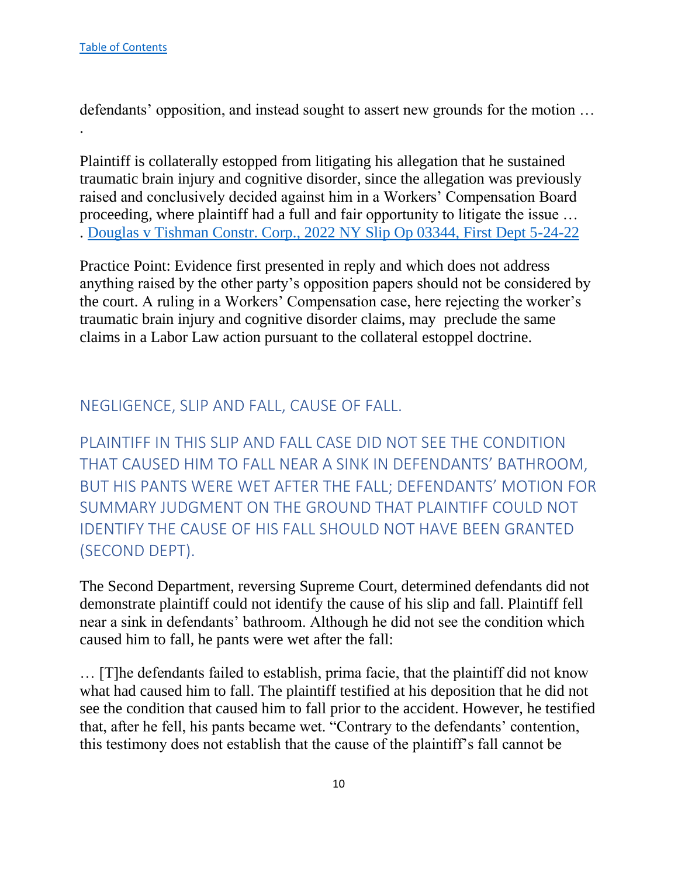.

defendants' opposition, and instead sought to assert new grounds for the motion …

Plaintiff is collaterally estopped from litigating his allegation that he sustained traumatic brain injury and cognitive disorder, since the allegation was previously raised and conclusively decided against him in a Workers' Compensation Board proceeding, where plaintiff had a full and fair opportunity to litigate the issue … . [Douglas v Tishman Constr. Corp., 2022 NY Slip Op 03344, First Dept 5-24-22](https://nycourts.gov/reporter/3dseries/2022/2022_03344.htm)

Practice Point: Evidence first presented in reply and which does not address anything raised by the other party's opposition papers should not be considered by the court. A ruling in a Workers' Compensation case, here rejecting the worker's traumatic brain injury and cognitive disorder claims, may preclude the same claims in a Labor Law action pursuant to the collateral estoppel doctrine.

#### <span id="page-10-0"></span>NEGLIGENCE, SLIP AND FALL, CAUSE OF FALL.

<span id="page-10-1"></span>PLAINTIFF IN THIS SLIP AND FALL CASE DID NOT SEE THE CONDITION THAT CAUSED HIM TO FALL NEAR A SINK IN DEFENDANTS' BATHROOM, BUT HIS PANTS WERE WET AFTER THE FALL; DEFENDANTS' MOTION FOR SUMMARY JUDGMENT ON THE GROUND THAT PLAINTIFF COULD NOT IDENTIFY THE CAUSE OF HIS FALL SHOULD NOT HAVE BEEN GRANTED (SECOND DEPT).

The Second Department, reversing Supreme Court, determined defendants did not demonstrate plaintiff could not identify the cause of his slip and fall. Plaintiff fell near a sink in defendants' bathroom. Although he did not see the condition which caused him to fall, he pants were wet after the fall:

… [T]he defendants failed to establish, prima facie, that the plaintiff did not know what had caused him to fall. The plaintiff testified at his deposition that he did not see the condition that caused him to fall prior to the accident. However, he testified that, after he fell, his pants became wet. "Contrary to the defendants' contention, this testimony does not establish that the cause of the plaintiff's fall cannot be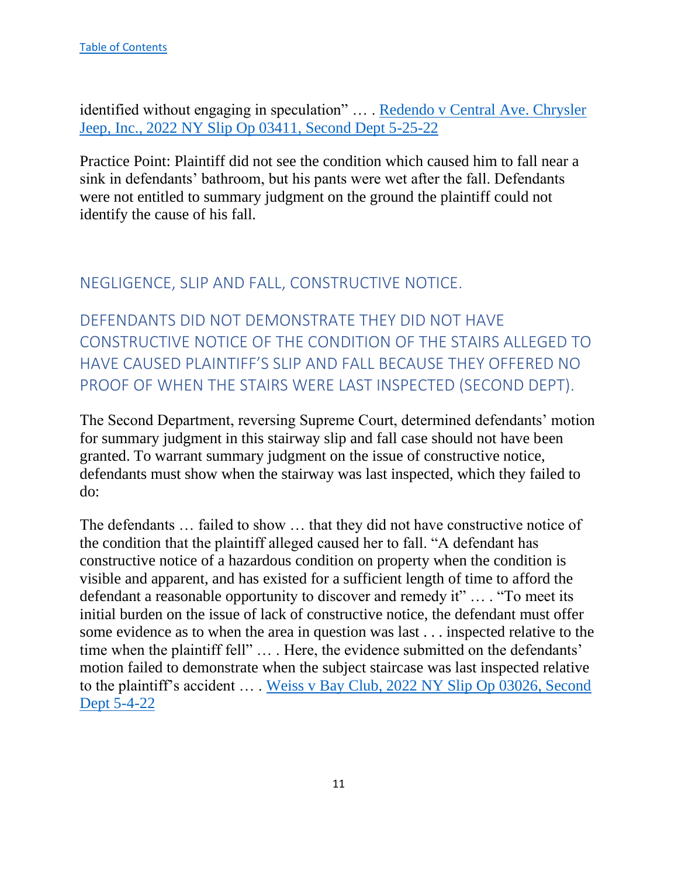identified without engaging in speculation" … . [Redendo v Central Ave. Chrysler](https://nycourts.gov/reporter/3dseries/2022/2022_03411.htm)  [Jeep, Inc., 2022 NY Slip Op 03411, Second Dept 5-25-22](https://nycourts.gov/reporter/3dseries/2022/2022_03411.htm)

Practice Point: Plaintiff did not see the condition which caused him to fall near a sink in defendants' bathroom, but his pants were wet after the fall. Defendants were not entitled to summary judgment on the ground the plaintiff could not identify the cause of his fall.

#### <span id="page-11-0"></span>NEGLIGENCE, SLIP AND FALL, CONSTRUCTIVE NOTICE.

<span id="page-11-1"></span>DEFENDANTS DID NOT DEMONSTRATE THEY DID NOT HAVE CONSTRUCTIVE NOTICE OF THE CONDITION OF THE STAIRS ALLEGED TO HAVE CAUSED PLAINTIFF'S SLIP AND FALL BECAUSE THEY OFFERED NO PROOF OF WHEN THE STAIRS WERE LAST INSPECTED (SECOND DEPT).

The Second Department, reversing Supreme Court, determined defendants' motion for summary judgment in this stairway slip and fall case should not have been granted. To warrant summary judgment on the issue of constructive notice, defendants must show when the stairway was last inspected, which they failed to do:

The defendants … failed to show … that they did not have constructive notice of the condition that the plaintiff alleged caused her to fall. "A defendant has constructive notice of a hazardous condition on property when the condition is visible and apparent, and has existed for a sufficient length of time to afford the defendant a reasonable opportunity to discover and remedy it" … . "To meet its initial burden on the issue of lack of constructive notice, the defendant must offer some evidence as to when the area in question was last . . . inspected relative to the time when the plaintiff fell" … . Here, the evidence submitted on the defendants' motion failed to demonstrate when the subject staircase was last inspected relative to the plaintiff's accident … . Weiss v [Bay Club, 2022 NY Slip Op 03026, Second](https://nycourts.gov/reporter/3dseries/2022/2022_03026.htm)  [Dept 5-4-22](https://nycourts.gov/reporter/3dseries/2022/2022_03026.htm)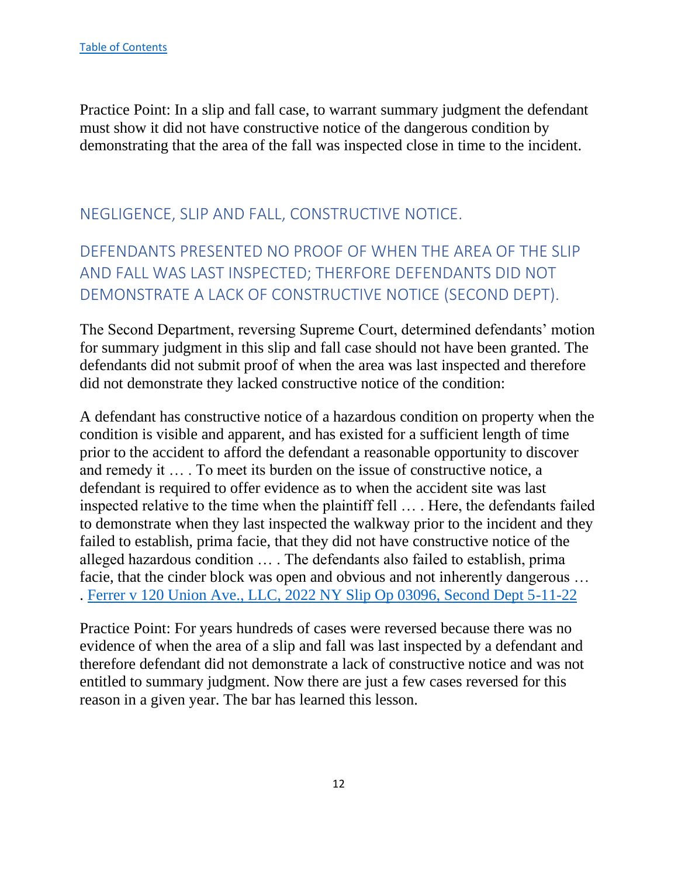Practice Point: In a slip and fall case, to warrant summary judgment the defendant must show it did not have constructive notice of the dangerous condition by demonstrating that the area of the fall was inspected close in time to the incident.

# <span id="page-12-0"></span>NEGLIGENCE, SLIP AND FALL, CONSTRUCTIVE NOTICE.

# <span id="page-12-1"></span>DEFENDANTS PRESENTED NO PROOF OF WHEN THE AREA OF THE SLIP AND FALL WAS LAST INSPECTED; THERFORE DEFENDANTS DID NOT DEMONSTRATE A LACK OF CONSTRUCTIVE NOTICE (SECOND DEPT).

The Second Department, reversing Supreme Court, determined defendants' motion for summary judgment in this slip and fall case should not have been granted. The defendants did not submit proof of when the area was last inspected and therefore did not demonstrate they lacked constructive notice of the condition:

A defendant has constructive notice of a hazardous condition on property when the condition is visible and apparent, and has existed for a sufficient length of time prior to the accident to afford the defendant a reasonable opportunity to discover and remedy it … . To meet its burden on the issue of constructive notice, a defendant is required to offer evidence as to when the accident site was last inspected relative to the time when the plaintiff fell … . Here, the defendants failed to demonstrate when they last inspected the walkway prior to the incident and they failed to establish, prima facie, that they did not have constructive notice of the alleged hazardous condition … . The defendants also failed to establish, prima facie, that the cinder block was open and obvious and not inherently dangerous … . [Ferrer v 120 Union Ave., LLC, 2022 NY Slip Op 03096, Second Dept 5-11-22](https://nycourts.gov/reporter/3dseries/2022/2022_03096.htm)

Practice Point: For years hundreds of cases were reversed because there was no evidence of when the area of a slip and fall was last inspected by a defendant and therefore defendant did not demonstrate a lack of constructive notice and was not entitled to summary judgment. Now there are just a few cases reversed for this reason in a given year. The bar has learned this lesson.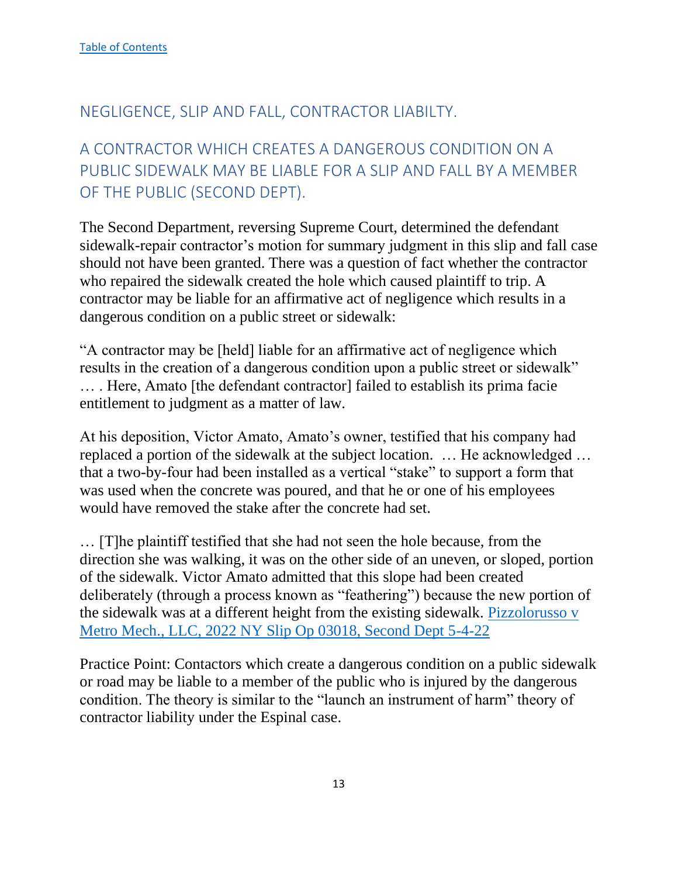#### <span id="page-13-0"></span>NEGLIGENCE, SLIP AND FALL, CONTRACTOR LIABILTY.

# <span id="page-13-1"></span>A CONTRACTOR WHICH CREATES A DANGEROUS CONDITION ON A PUBLIC SIDEWALK MAY BE LIABLE FOR A SLIP AND FALL BY A MEMBER OF THE PUBLIC (SECOND DEPT).

The Second Department, reversing Supreme Court, determined the defendant sidewalk-repair contractor's motion for summary judgment in this slip and fall case should not have been granted. There was a question of fact whether the contractor who repaired the sidewalk created the hole which caused plaintiff to trip. A contractor may be liable for an affirmative act of negligence which results in a dangerous condition on a public street or sidewalk:

"A contractor may be [held] liable for an affirmative act of negligence which results in the creation of a dangerous condition upon a public street or sidewalk" … . Here, Amato [the defendant contractor] failed to establish its prima facie entitlement to judgment as a matter of law.

At his deposition, Victor Amato, Amato's owner, testified that his company had replaced a portion of the sidewalk at the subject location. … He acknowledged … that a two-by-four had been installed as a vertical "stake" to support a form that was used when the concrete was poured, and that he or one of his employees would have removed the stake after the concrete had set.

… [T]he plaintiff testified that she had not seen the hole because, from the direction she was walking, it was on the other side of an uneven, or sloped, portion of the sidewalk. Victor Amato admitted that this slope had been created deliberately (through a process known as "feathering") because the new portion of the sidewalk was at a different height from the existing sidewalk. [Pizzolorusso v](https://nycourts.gov/reporter/3dseries/2022/2022_03018.htm)  [Metro Mech., LLC, 2022 NY Slip Op 03018, Second Dept 5-4-22](https://nycourts.gov/reporter/3dseries/2022/2022_03018.htm)

Practice Point: Contactors which create a dangerous condition on a public sidewalk or road may be liable to a member of the public who is injured by the dangerous condition. The theory is similar to the "launch an instrument of harm" theory of contractor liability under the Espinal case.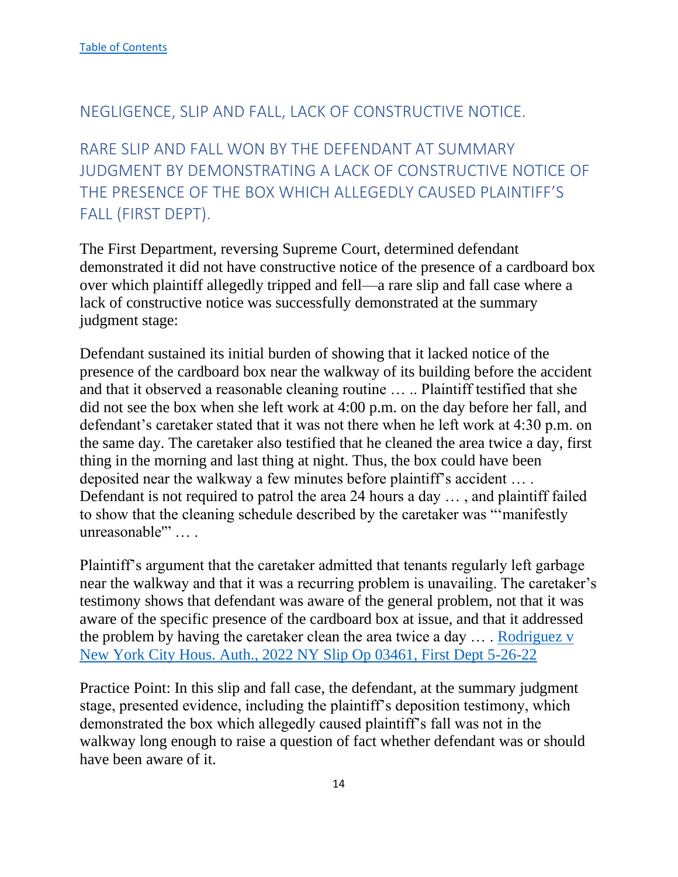#### <span id="page-14-0"></span>NEGLIGENCE, SLIP AND FALL, LACK OF CONSTRUCTIVE NOTICE.

<span id="page-14-1"></span>RARE SLIP AND FALL WON BY THE DEFENDANT AT SUMMARY JUDGMENT BY DEMONSTRATING A LACK OF CONSTRUCTIVE NOTICE OF THE PRESENCE OF THE BOX WHICH ALLEGEDLY CAUSED PLAINTIFF'S FALL (FIRST DEPT).

The First Department, reversing Supreme Court, determined defendant demonstrated it did not have constructive notice of the presence of a cardboard box over which plaintiff allegedly tripped and fell—a rare slip and fall case where a lack of constructive notice was successfully demonstrated at the summary judgment stage:

Defendant sustained its initial burden of showing that it lacked notice of the presence of the cardboard box near the walkway of its building before the accident and that it observed a reasonable cleaning routine … .. Plaintiff testified that she did not see the box when she left work at 4:00 p.m. on the day before her fall, and defendant's caretaker stated that it was not there when he left work at 4:30 p.m. on the same day. The caretaker also testified that he cleaned the area twice a day, first thing in the morning and last thing at night. Thus, the box could have been deposited near the walkway a few minutes before plaintiff's accident … . Defendant is not required to patrol the area 24 hours a day … , and plaintiff failed to show that the cleaning schedule described by the caretaker was "'manifestly unreasonable'" … .

Plaintiff's argument that the caretaker admitted that tenants regularly left garbage near the walkway and that it was a recurring problem is unavailing. The caretaker's testimony shows that defendant was aware of the general problem, not that it was aware of the specific presence of the cardboard box at issue, and that it addressed the problem by having the caretaker clean the area twice a day … . [Rodriguez v](https://nycourts.gov/reporter/3dseries/2022/2022_03461.htm)  [New York City Hous. Auth., 2022 NY Slip Op 03461, First Dept 5-26-22](https://nycourts.gov/reporter/3dseries/2022/2022_03461.htm)

Practice Point: In this slip and fall case, the defendant, at the summary judgment stage, presented evidence, including the plaintiff's deposition testimony, which demonstrated the box which allegedly caused plaintiff's fall was not in the walkway long enough to raise a question of fact whether defendant was or should have been aware of it.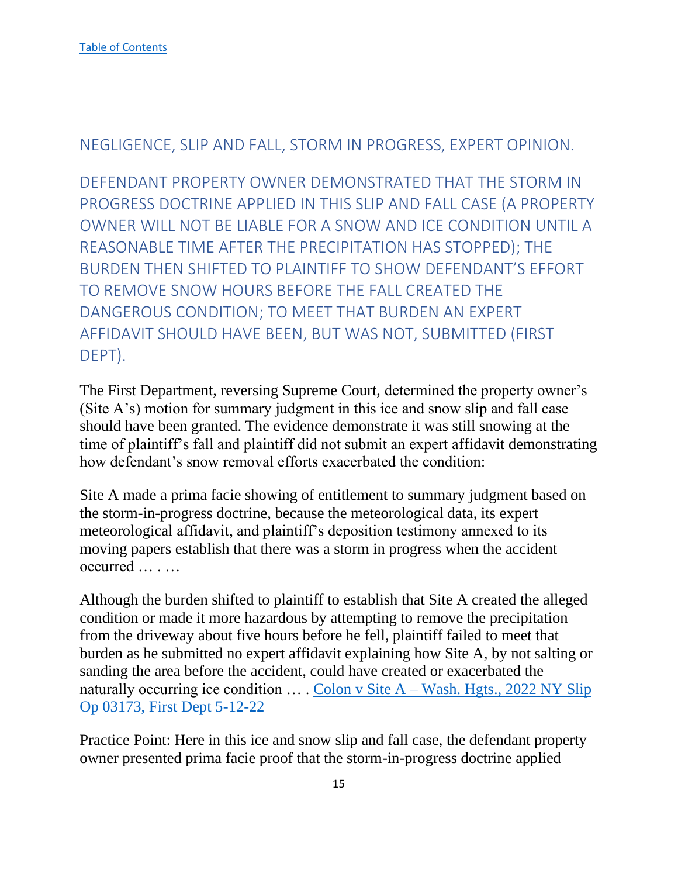#### <span id="page-15-0"></span>NEGLIGENCE, SLIP AND FALL, STORM IN PROGRESS, EXPERT OPINION.

<span id="page-15-1"></span>DEFENDANT PROPERTY OWNER DEMONSTRATED THAT THE STORM IN PROGRESS DOCTRINE APPLIED IN THIS SLIP AND FALL CASE (A PROPERTY OWNER WILL NOT BE LIABLE FOR A SNOW AND ICE CONDITION UNTIL A REASONABLE TIME AFTER THE PRECIPITATION HAS STOPPED); THE BURDEN THEN SHIFTED TO PLAINTIFF TO SHOW DEFENDANT'S EFFORT TO REMOVE SNOW HOURS BEFORE THE FALL CREATED THE DANGEROUS CONDITION; TO MEET THAT BURDEN AN EXPERT AFFIDAVIT SHOULD HAVE BEEN, BUT WAS NOT, SUBMITTED (FIRST DEPT).

The First Department, reversing Supreme Court, determined the property owner's (Site A's) motion for summary judgment in this ice and snow slip and fall case should have been granted. The evidence demonstrate it was still snowing at the time of plaintiff's fall and plaintiff did not submit an expert affidavit demonstrating how defendant's snow removal efforts exacerbated the condition:

Site A made a prima facie showing of entitlement to summary judgment based on the storm-in-progress doctrine, because the meteorological data, its expert meteorological affidavit, and plaintiff's deposition testimony annexed to its moving papers establish that there was a storm in progress when the accident occurred … . …

Although the burden shifted to plaintiff to establish that Site A created the alleged condition or made it more hazardous by attempting to remove the precipitation from the driveway about five hours before he fell, plaintiff failed to meet that burden as he submitted no expert affidavit explaining how Site A, by not salting or sanding the area before the accident, could have created or exacerbated the naturally occurring ice condition  $\dots$ . Colon v Site A – Wash. Hgts., 2022 NY Slip [Op 03173, First Dept 5-12-22](https://nycourts.gov/reporter/3dseries/2022/2022_03173.htm)

Practice Point: Here in this ice and snow slip and fall case, the defendant property owner presented prima facie proof that the storm-in-progress doctrine applied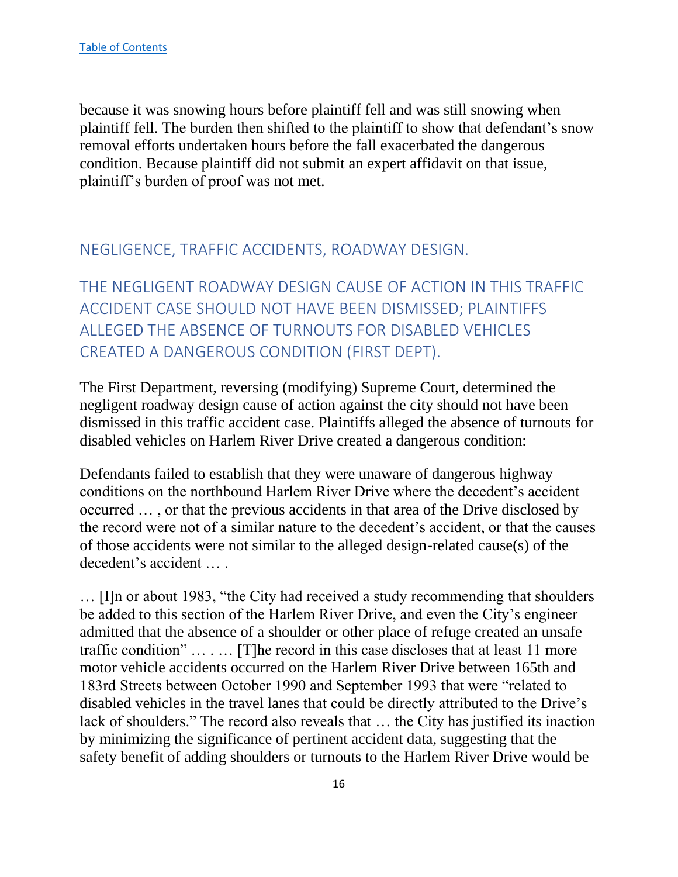because it was snowing hours before plaintiff fell and was still snowing when plaintiff fell. The burden then shifted to the plaintiff to show that defendant's snow removal efforts undertaken hours before the fall exacerbated the dangerous condition. Because plaintiff did not submit an expert affidavit on that issue, plaintiff's burden of proof was not met.

## <span id="page-16-0"></span>NEGLIGENCE, TRAFFIC ACCIDENTS, ROADWAY DESIGN.

<span id="page-16-1"></span>THE NEGLIGENT ROADWAY DESIGN CAUSE OF ACTION IN THIS TRAFFIC ACCIDENT CASE SHOULD NOT HAVE BEEN DISMISSED; PLAINTIFFS ALLEGED THE ABSENCE OF TURNOUTS FOR DISABLED VEHICLES CREATED A DANGEROUS CONDITION (FIRST DEPT).

The First Department, reversing (modifying) Supreme Court, determined the negligent roadway design cause of action against the city should not have been dismissed in this traffic accident case. Plaintiffs alleged the absence of turnouts for disabled vehicles on Harlem River Drive created a dangerous condition:

Defendants failed to establish that they were unaware of dangerous highway conditions on the northbound Harlem River Drive where the decedent's accident occurred … , or that the previous accidents in that area of the Drive disclosed by the record were not of a similar nature to the decedent's accident, or that the causes of those accidents were not similar to the alleged design-related cause(s) of the decedent's accident … .

… [I]n or about 1983, "the City had received a study recommending that shoulders be added to this section of the Harlem River Drive, and even the City's engineer admitted that the absence of a shoulder or other place of refuge created an unsafe traffic condition" … . … [T]he record in this case discloses that at least 11 more motor vehicle accidents occurred on the Harlem River Drive between 165th and 183rd Streets between October 1990 and September 1993 that were "related to disabled vehicles in the travel lanes that could be directly attributed to the Drive's lack of shoulders." The record also reveals that … the City has justified its inaction by minimizing the significance of pertinent accident data, suggesting that the safety benefit of adding shoulders or turnouts to the Harlem River Drive would be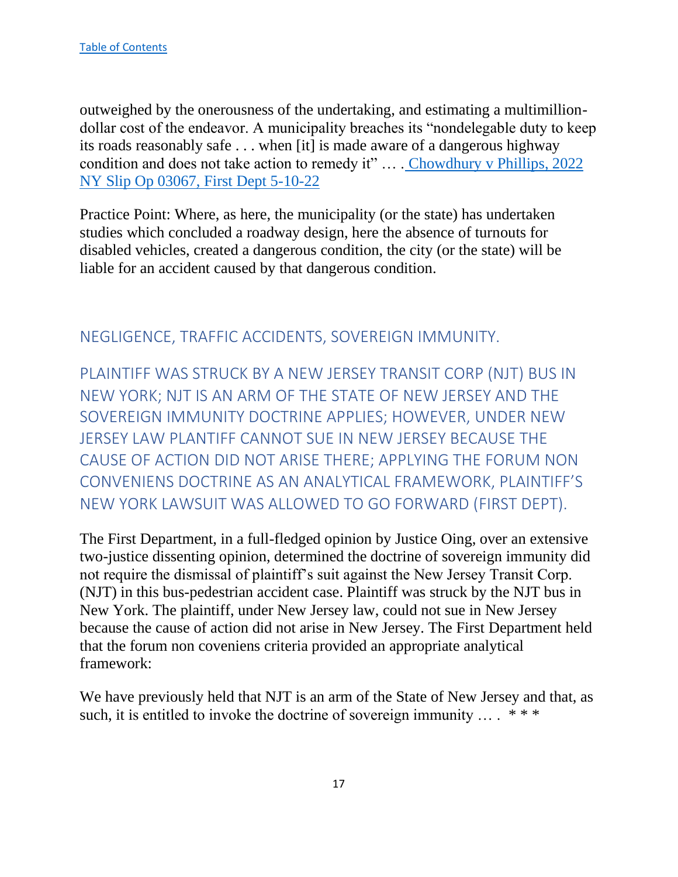outweighed by the onerousness of the undertaking, and estimating a multimilliondollar cost of the endeavor. A municipality breaches its "nondelegable duty to keep its roads reasonably safe . . . when [it] is made aware of a dangerous highway condition and does not take action to remedy it" … . [Chowdhury v Phillips, 2022](https://nycourts.gov/reporter/3dseries/2022/2022_03067.htm)  [NY Slip Op 03067, First Dept 5-10-22](https://nycourts.gov/reporter/3dseries/2022/2022_03067.htm)

Practice Point: Where, as here, the municipality (or the state) has undertaken studies which concluded a roadway design, here the absence of turnouts for disabled vehicles, created a dangerous condition, the city (or the state) will be liable for an accident caused by that dangerous condition.

#### <span id="page-17-0"></span>NEGLIGENCE, TRAFFIC ACCIDENTS, SOVEREIGN IMMUNITY.

<span id="page-17-1"></span>PLAINTIFF WAS STRUCK BY A NEW JERSEY TRANSIT CORP (NJT) BUS IN NEW YORK; NJT IS AN ARM OF THE STATE OF NEW JERSEY AND THE SOVEREIGN IMMUNITY DOCTRINE APPLIES; HOWEVER, UNDER NEW JERSEY LAW PLANTIFF CANNOT SUE IN NEW JERSEY BECAUSE THE CAUSE OF ACTION DID NOT ARISE THERE; APPLYING THE FORUM NON CONVENIENS DOCTRINE AS AN ANALYTICAL FRAMEWORK, PLAINTIFF'S NEW YORK LAWSUIT WAS ALLOWED TO GO FORWARD (FIRST DEPT).

The First Department, in a full-fledged opinion by Justice Oing, over an extensive two-justice dissenting opinion, determined the doctrine of sovereign immunity did not require the dismissal of plaintiff's suit against the New Jersey Transit Corp. (NJT) in this bus-pedestrian accident case. Plaintiff was struck by the NJT bus in New York. The plaintiff, under New Jersey law, could not sue in New Jersey because the cause of action did not arise in New Jersey. The First Department held that the forum non coveniens criteria provided an appropriate analytical framework:

We have previously held that NJT is an arm of the State of New Jersey and that, as such, it is entitled to invoke the doctrine of sovereign immunity  $\dots$  \*\*\*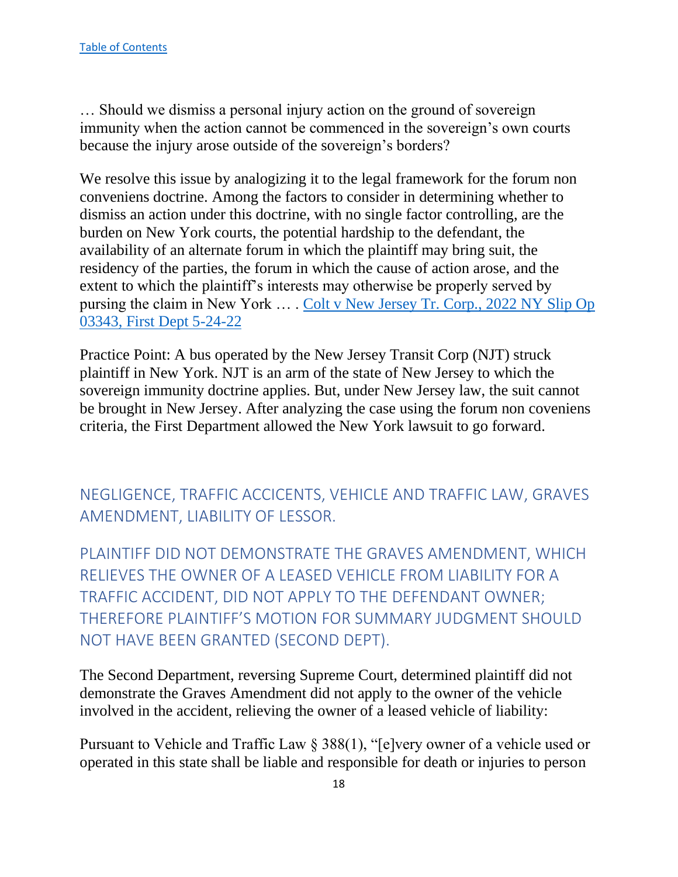… Should we dismiss a personal injury action on the ground of sovereign immunity when the action cannot be commenced in the sovereign's own courts because the injury arose outside of the sovereign's borders?

We resolve this issue by analogizing it to the legal framework for the forum non conveniens doctrine. Among the factors to consider in determining whether to dismiss an action under this doctrine, with no single factor controlling, are the burden on New York courts, the potential hardship to the defendant, the availability of an alternate forum in which the plaintiff may bring suit, the residency of the parties, the forum in which the cause of action arose, and the extent to which the plaintiff's interests may otherwise be properly served by pursing the claim in New York ... . Colt v New Jersey Tr. Corp., 2022 NY Slip Op [03343, First Dept 5-24-22](https://nycourts.gov/reporter/3dseries/2022/2022_03343.htm)

Practice Point: A bus operated by the New Jersey Transit Corp (NJT) struck plaintiff in New York. NJT is an arm of the state of New Jersey to which the sovereign immunity doctrine applies. But, under New Jersey law, the suit cannot be brought in New Jersey. After analyzing the case using the forum non coveniens criteria, the First Department allowed the New York lawsuit to go forward.

<span id="page-18-0"></span>NEGLIGENCE, TRAFFIC ACCICENTS, VEHICLE AND TRAFFIC LAW, GRAVES AMENDMENT, LIABILITY OF LESSOR.

<span id="page-18-1"></span>PLAINTIFF DID NOT DEMONSTRATE THE GRAVES AMENDMENT, WHICH RELIEVES THE OWNER OF A LEASED VEHICLE FROM LIABILITY FOR A TRAFFIC ACCIDENT, DID NOT APPLY TO THE DEFENDANT OWNER; THEREFORE PLAINTIFF'S MOTION FOR SUMMARY JUDGMENT SHOULD NOT HAVE BEEN GRANTED (SECOND DEPT).

The Second Department, reversing Supreme Court, determined plaintiff did not demonstrate the Graves Amendment did not apply to the owner of the vehicle involved in the accident, relieving the owner of a leased vehicle of liability:

Pursuant to Vehicle and Traffic Law § 388(1), "[e]very owner of a vehicle used or operated in this state shall be liable and responsible for death or injuries to person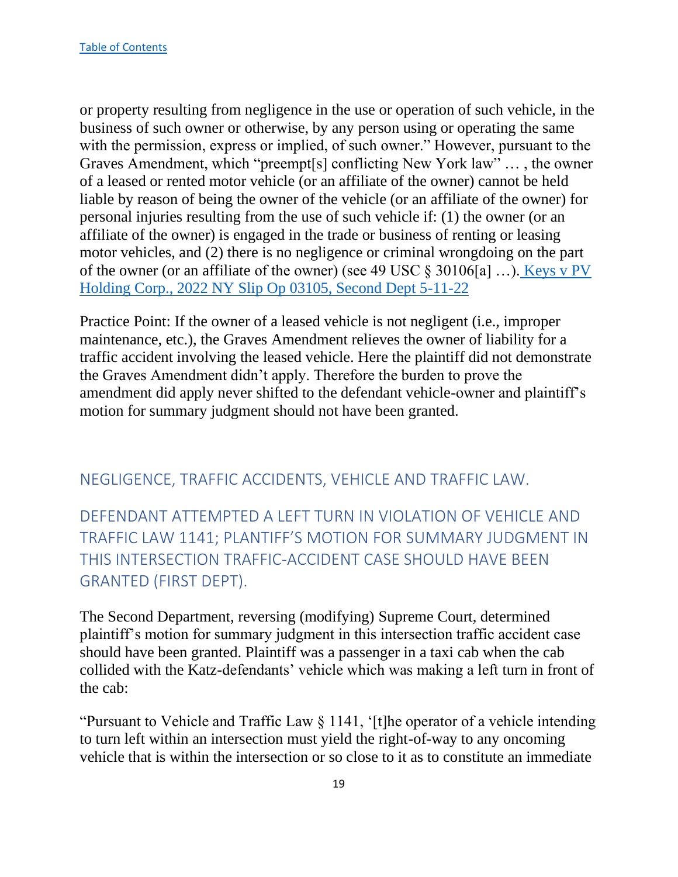or property resulting from negligence in the use or operation of such vehicle, in the business of such owner or otherwise, by any person using or operating the same with the permission, express or implied, of such owner." However, pursuant to the Graves Amendment, which "preempt[s] conflicting New York law" … , the owner of a leased or rented motor vehicle (or an affiliate of the owner) cannot be held liable by reason of being the owner of the vehicle (or an affiliate of the owner) for personal injuries resulting from the use of such vehicle if: (1) the owner (or an affiliate of the owner) is engaged in the trade or business of renting or leasing motor vehicles, and (2) there is no negligence or criminal wrongdoing on the part of the owner (or an affiliate of the owner) (see 49 USC § 30106[a] …). [Keys v PV](https://nycourts.gov/reporter/3dseries/2022/2022_03105.htm)  [Holding Corp., 2022 NY Slip Op 03105, Second Dept 5-11-22](https://nycourts.gov/reporter/3dseries/2022/2022_03105.htm)

Practice Point: If the owner of a leased vehicle is not negligent (i.e., improper maintenance, etc.), the Graves Amendment relieves the owner of liability for a traffic accident involving the leased vehicle. Here the plaintiff did not demonstrate the Graves Amendment didn't apply. Therefore the burden to prove the amendment did apply never shifted to the defendant vehicle-owner and plaintiff's motion for summary judgment should not have been granted.

#### <span id="page-19-0"></span>NEGLIGENCE, TRAFFIC ACCIDENTS, VEHICLE AND TRAFFIC LAW.

<span id="page-19-1"></span>DEFENDANT ATTEMPTED A LEFT TURN IN VIOLATION OF VEHICLE AND TRAFFIC LAW 1141; PLANTIFF'S MOTION FOR SUMMARY JUDGMENT IN THIS INTERSECTION TRAFFIC-ACCIDENT CASE SHOULD HAVE BEEN GRANTED (FIRST DEPT).

The Second Department, reversing (modifying) Supreme Court, determined plaintiff's motion for summary judgment in this intersection traffic accident case should have been granted. Plaintiff was a passenger in a taxi cab when the cab collided with the Katz-defendants' vehicle which was making a left turn in front of the cab:

"Pursuant to Vehicle and Traffic Law § 1141, '[t]he operator of a vehicle intending to turn left within an intersection must yield the right-of-way to any oncoming vehicle that is within the intersection or so close to it as to constitute an immediate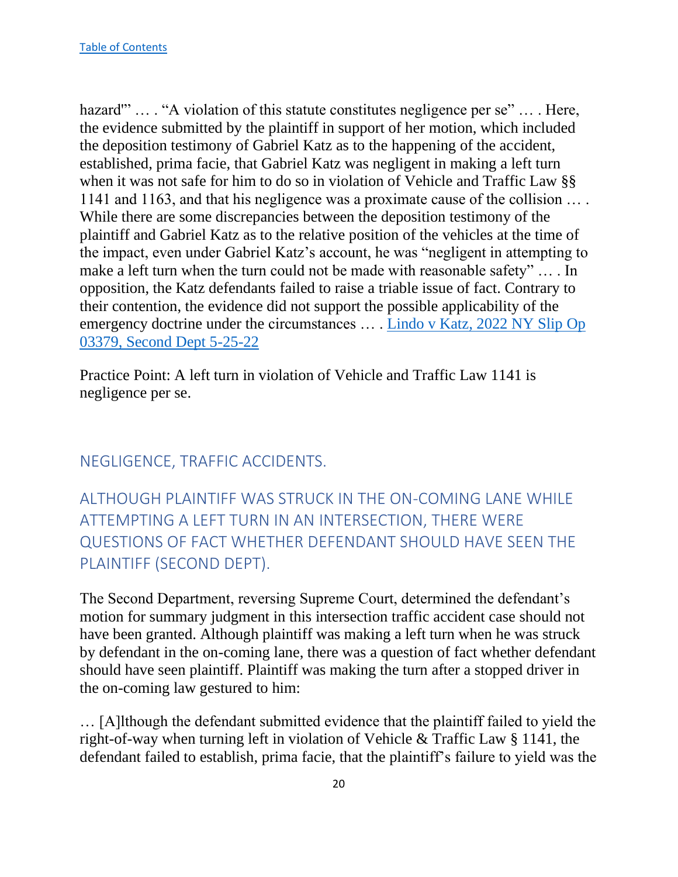hazard" … . "A violation of this statute constitutes negligence per se" ... . Here, the evidence submitted by the plaintiff in support of her motion, which included the deposition testimony of Gabriel Katz as to the happening of the accident, established, prima facie, that Gabriel Katz was negligent in making a left turn when it was not safe for him to do so in violation of Vehicle and Traffic Law §§ 1141 and 1163, and that his negligence was a proximate cause of the collision … . While there are some discrepancies between the deposition testimony of the plaintiff and Gabriel Katz as to the relative position of the vehicles at the time of the impact, even under Gabriel Katz's account, he was "negligent in attempting to make a left turn when the turn could not be made with reasonable safety" … . In opposition, the Katz defendants failed to raise a triable issue of fact. Contrary to their contention, the evidence did not support the possible applicability of the emergency doctrine under the circumstances … . [Lindo v Katz, 2022 NY Slip Op](https://nycourts.gov/reporter/3dseries/2022/2022_03379.htm)  [03379, Second Dept 5-25-22](https://nycourts.gov/reporter/3dseries/2022/2022_03379.htm)

Practice Point: A left turn in violation of Vehicle and Traffic Law 1141 is negligence per se.

## <span id="page-20-0"></span>NEGLIGENCE, TRAFFIC ACCIDENTS.

<span id="page-20-1"></span>ALTHOUGH PLAINTIFF WAS STRUCK IN THE ON-COMING LANE WHILE ATTEMPTING A LEFT TURN IN AN INTERSECTION, THERE WERE QUESTIONS OF FACT WHETHER DEFENDANT SHOULD HAVE SEEN THE PLAINTIFF (SECOND DEPT).

The Second Department, reversing Supreme Court, determined the defendant's motion for summary judgment in this intersection traffic accident case should not have been granted. Although plaintiff was making a left turn when he was struck by defendant in the on-coming lane, there was a question of fact whether defendant should have seen plaintiff. Plaintiff was making the turn after a stopped driver in the on-coming law gestured to him:

… [A]lthough the defendant submitted evidence that the plaintiff failed to yield the right-of-way when turning left in violation of Vehicle & Traffic Law § 1141, the defendant failed to establish, prima facie, that the plaintiff's failure to yield was the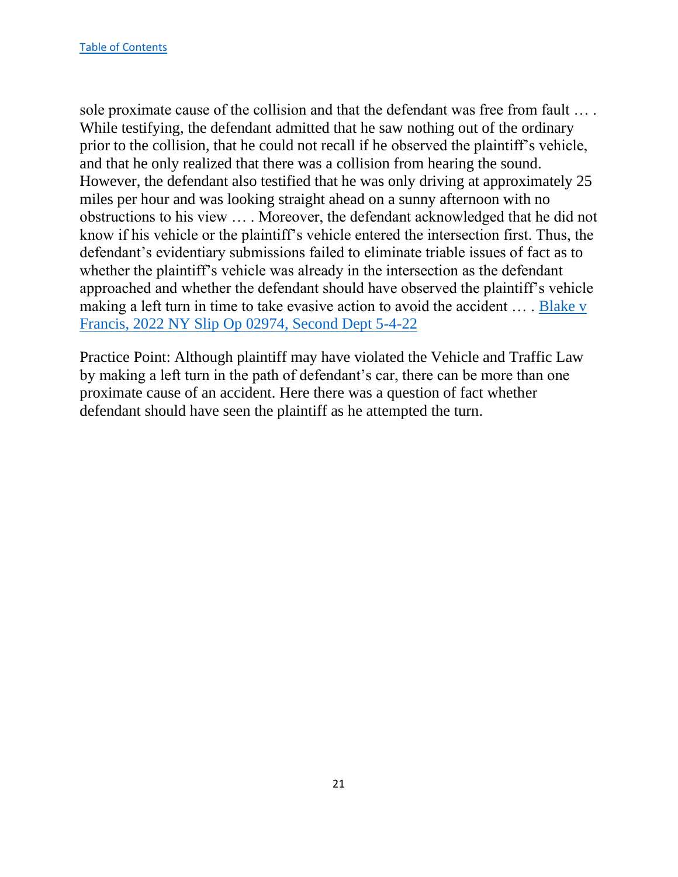sole proximate cause of the collision and that the defendant was free from fault … . While testifying, the defendant admitted that he saw nothing out of the ordinary prior to the collision, that he could not recall if he observed the plaintiff's vehicle, and that he only realized that there was a collision from hearing the sound. However, the defendant also testified that he was only driving at approximately 25 miles per hour and was looking straight ahead on a sunny afternoon with no obstructions to his view … . Moreover, the defendant acknowledged that he did not know if his vehicle or the plaintiff's vehicle entered the intersection first. Thus, the defendant's evidentiary submissions failed to eliminate triable issues of fact as to whether the plaintiff's vehicle was already in the intersection as the defendant approached and whether the defendant should have observed the plaintiff's vehicle making a left turn in time to take evasive action to avoid the accident … . [Blake v](https://nycourts.gov/reporter/3dseries/2022/2022_02974.htm)  [Francis, 2022 NY Slip Op 02974, Second Dept 5-4-22](https://nycourts.gov/reporter/3dseries/2022/2022_02974.htm)

Practice Point: Although plaintiff may have violated the Vehicle and Traffic Law by making a left turn in the path of defendant's car, there can be more than one proximate cause of an accident. Here there was a question of fact whether defendant should have seen the plaintiff as he attempted the turn.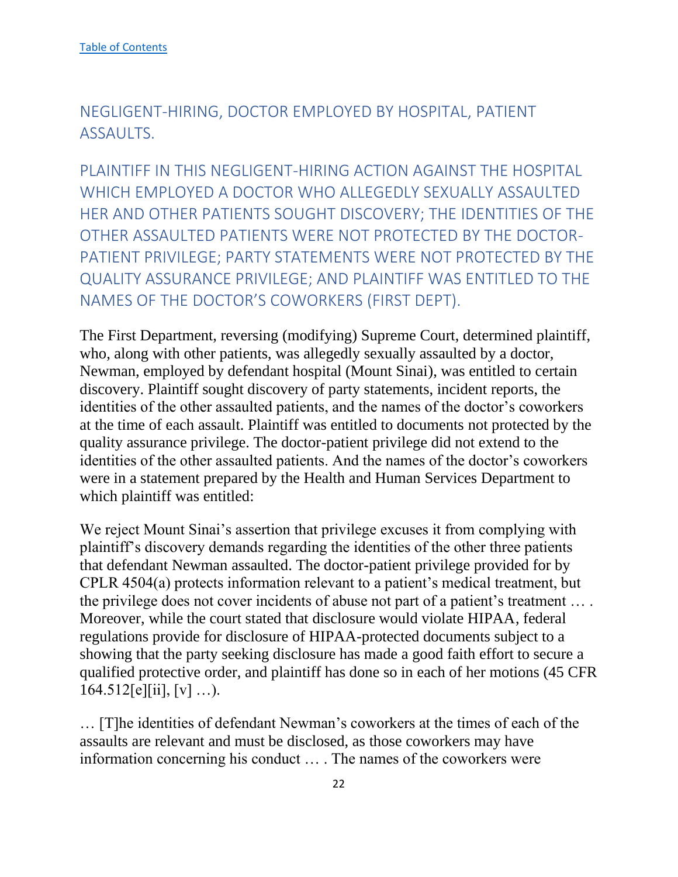# <span id="page-22-0"></span>NEGLIGENT-HIRING, DOCTOR EMPLOYED BY HOSPITAL, PATIENT ASSAULTS.

<span id="page-22-1"></span>PLAINTIFF IN THIS NEGLIGENT-HIRING ACTION AGAINST THE HOSPITAL WHICH EMPLOYED A DOCTOR WHO ALLEGEDLY SEXUALLY ASSAULTED HER AND OTHER PATIENTS SOUGHT DISCOVERY; THE IDENTITIES OF THE OTHER ASSAULTED PATIENTS WERE NOT PROTECTED BY THE DOCTOR-PATIENT PRIVILEGE; PARTY STATEMENTS WERE NOT PROTECTED BY THE QUALITY ASSURANCE PRIVILEGE; AND PLAINTIFF WAS ENTITLED TO THE NAMES OF THE DOCTOR'S COWORKERS (FIRST DEPT).

The First Department, reversing (modifying) Supreme Court, determined plaintiff, who, along with other patients, was allegedly sexually assaulted by a doctor, Newman, employed by defendant hospital (Mount Sinai), was entitled to certain discovery. Plaintiff sought discovery of party statements, incident reports, the identities of the other assaulted patients, and the names of the doctor's coworkers at the time of each assault. Plaintiff was entitled to documents not protected by the quality assurance privilege. The doctor-patient privilege did not extend to the identities of the other assaulted patients. And the names of the doctor's coworkers were in a statement prepared by the Health and Human Services Department to which plaintiff was entitled:

We reject Mount Sinai's assertion that privilege excuses it from complying with plaintiff's discovery demands regarding the identities of the other three patients that defendant Newman assaulted. The doctor-patient privilege provided for by CPLR 4504(a) protects information relevant to a patient's medical treatment, but the privilege does not cover incidents of abuse not part of a patient's treatment … . Moreover, while the court stated that disclosure would violate HIPAA, federal regulations provide for disclosure of HIPAA-protected documents subject to a showing that the party seeking disclosure has made a good faith effort to secure a qualified protective order, and plaintiff has done so in each of her motions (45 CFR  $164.512[e][ii], [v] \ldots$ .

… [T]he identities of defendant Newman's coworkers at the times of each of the assaults are relevant and must be disclosed, as those coworkers may have information concerning his conduct … . The names of the coworkers were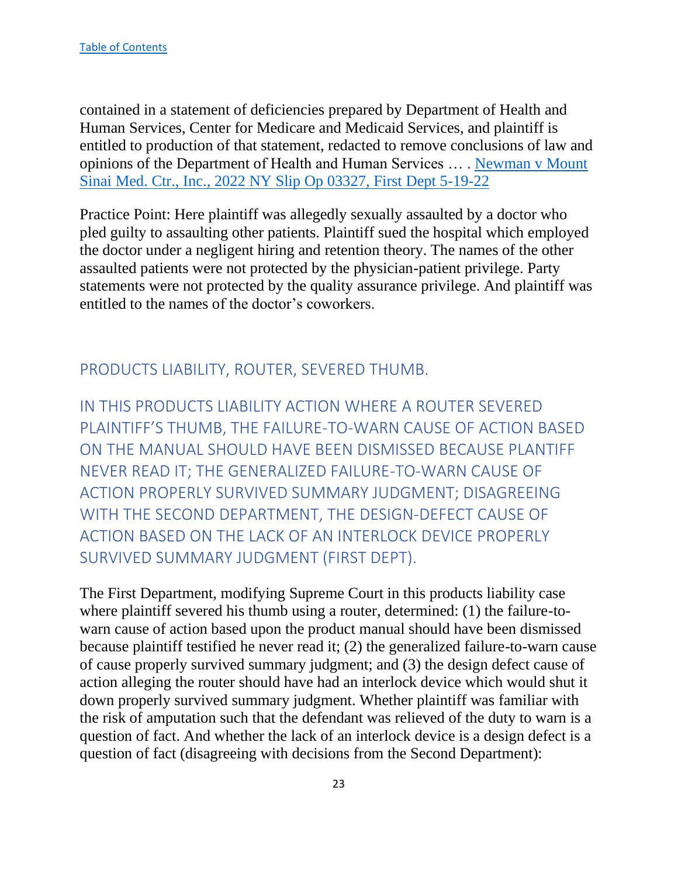contained in a statement of deficiencies prepared by Department of Health and Human Services, Center for Medicare and Medicaid Services, and plaintiff is entitled to production of that statement, redacted to remove conclusions of law and opinions of the Department of Health and Human Services … . Newman v Mount Sinai Med. Ctr., Inc., 2022 NY Slip Op 03327, First Dept 5-19-22

Practice Point: Here plaintiff was allegedly sexually assaulted by a doctor who pled guilty to assaulting other patients. Plaintiff sued the hospital which employed the doctor under a negligent hiring and retention theory. The names of the other assaulted patients were not protected by the physician-patient privilege. Party statements were not protected by the quality assurance privilege. And plaintiff was entitled to the names of the doctor's coworkers.

# <span id="page-23-0"></span>PRODUCTS LIABILITY, ROUTER, SEVERED THUMB.

<span id="page-23-1"></span>IN THIS PRODUCTS LIABILITY ACTION WHERE A ROUTER SEVERED PLAINTIFF'S THUMB, THE FAILURE-TO-WARN CAUSE OF ACTION BASED ON THE MANUAL SHOULD HAVE BEEN DISMISSED BECAUSE PLANTIFF NEVER READ IT; THE GENERALIZED FAILURE-TO-WARN CAUSE OF ACTION PROPERLY SURVIVED SUMMARY JUDGMENT; DISAGREEING WITH THE SECOND DEPARTMENT, THE DESIGN-DEFECT CAUSE OF ACTION BASED ON THE LACK OF AN INTERLOCK DEVICE PROPERLY SURVIVED SUMMARY JUDGMENT (FIRST DEPT).

The First Department, modifying Supreme Court in this products liability case where plaintiff severed his thumb using a router, determined: (1) the failure-towarn cause of action based upon the product manual should have been dismissed because plaintiff testified he never read it; (2) the generalized failure-to-warn cause of cause properly survived summary judgment; and (3) the design defect cause of action alleging the router should have had an interlock device which would shut it down properly survived summary judgment. Whether plaintiff was familiar with the risk of amputation such that the defendant was relieved of the duty to warn is a question of fact. And whether the lack of an interlock device is a design defect is a question of fact (disagreeing with decisions from the Second Department):